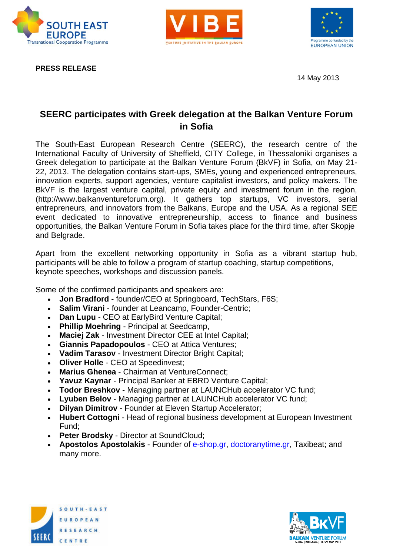





**PRESS RELEASE** 

14 May 2013

## **SEERC participates with Greek delegation at the Balkan Venture Forum in Sofia**

The South-East European Research Centre (SEERC), the research centre of the International Faculty of University of Sheffield, CITY College, in Thessaloniki organises a Greek delegation to participate at the Balkan Venture Forum (BkVF) in Sofia, on May 21- 22, 2013. The delegation contains start-ups, SMEs, young and experienced entrepreneurs, innovation experts, support agencies, venture capitalist investors, and policy makers. The BkVF is the largest venture capital, private equity and investment forum in the region, (http://www.balkanventureforum.org). It gathers top startups, VC investors, serial entrepreneurs, and innovators from the Balkans, Europe and the USA. As a regional SEE event dedicated to innovative entrepreneurship, access to finance and business opportunities, the Balkan Venture Forum in Sofia takes place for the third time, after Skopje and Belgrade.

Apart from the excellent networking opportunity in Sofia as a vibrant startup hub, participants will be able to follow a program of startup coaching, startup competitions, keynote speeches, workshops and discussion panels.

Some of the confirmed participants and speakers are:

- **Jon Bradford** founder/CEO at Springboard, TechStars, F6S;
- **Salim Virani** founder at Leancamp, Founder-Centric;
- **Dan Lupu** CEO at EarlyBird Venture Capital;
- **Phillip Moehring** Principal at Seedcamp,
- **Maciej Zak** Investment Director CEE at Intel Capital;
- **Giannis Papadopoulos** CEO at Attica Ventures;
- **Vadim Tarasov**  Investment Director Bright Capital;
- **Oliver Holle** CEO at Speedinvest:
- **Marius Ghenea** Chairman at VentureConnect:
- **Yavuz Kaynar** Principal Banker at EBRD Venture Capital;
- **Todor Breshkov** Managing partner at LAUNCHub accelerator VC fund;
- **Lyuben Belov** Managing partner at LAUNCHub accelerator VC fund;
- **Dilvan Dimitrov** Founder at Eleven Startup Accelerator:
- **Hubert Cottogni** Head of regional business development at European Investment Fund;
- **Peter Brodsky Director at SoundCloud;**
- **Apostolos Apostolakis** Founder of e-shop.gr, doctoranytime.gr, Taxibeat; and many more.